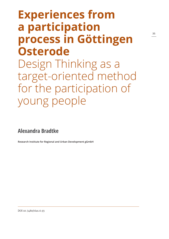# **Experiences from a participation process in Göttingen Osterode** Design Thinking as a target-oriented method for the participation of young people

**Alexandra Bradtke**

**Research Institute for Regional and Urban Development gGmbH**

DOI 10.7480/rius.6.93

**35**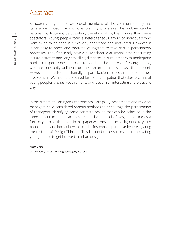# Abstract

Although young people are equal members of the community, they are generally excluded from municipal planning processes. This problem can be resolved by fostering participation, thereby making them more than mere spectators. Young people form a heterogeneous group of individuals who want to be taken seriously, explicitly addressed and motivated. However, it is not easy to reach and motivate youngsters to take part in participatory processes. They frequently have a busy schedule at school, time-consuming leisure activities and long travelling distances in rural areas with inadequate public transport. One approach to sparking the interest of young people, who are constantly online or on their smartphones, is to use the internet. However, methods other than digital participation are required to foster their involvement: We need a dedicated form of participation that takes account of young peoples' wishes, requirements and ideas in an interesting and attractive way.

In the district of Göttingen Osterode am Harz (a.H.), researchers and regional managers have considered various methods to encourage the participation of teenagers, identifying some concrete results that can be achieved in the target group. In particular, they tested the method of Design Thinking as a form of youth participation. In this paper we consider the background to youth participation and look at how this can be fostered, in particular by investigating the method of Design Thinking. This is found to be successful in motivating young people to get involved in urban design.

#### **KEYWORDS**

participation, Design Thinking, teenagers, inclusive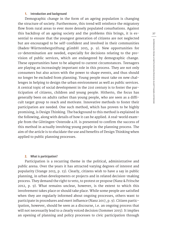# **1. Introduction and background**

Demographic change in the form of an ageing population is changing the structure of society. Furthermore, this trend will reinforce the migratory flow from rural areas to ever more densely populated conurbations. Against this backdrop of an ageing society and the problems this brings, it is essential to ensure that the youngest generation of citizens are not neglected but are encouraged to be self-confident and involved in their communities (Baden-Württembergstiftung gGmbH 2015, p. 9). New opportunities for co-determination are needed, especially for decisions relating to the provision of public services, which are endangered by demographic change. These opportunities have to be adapted to current circumstances. Teenagers are playing an increasingly important role in this process. They are not only consumers but also actors with the power to shape events, and thus should no longer be excluded from planning. Young people must take on new challenges in helping to design the urban environment as well as public services. A central topic of social development in the 21st century is to foster the participation of citizens, children and young people. Hitherto, the focus has generally been on adults rather than young people, who are seen as a difficult target group to reach and motivate. Innovative methods to foster their participation are needed. One such method, which has proven to be highly promising, is Design Thinking. The background to this method is explained in the following, along with details of how it can be applied. A real-world example from the Göttingen-Osterode a.H. is presented to confirm the success of this method in actually involving young people in the planning process. The aim of the article is to elucidate the use and benefits of Design Thinking when applied to public planning processes.

#### **2. What is participation?**

Participation is a recurring theme in the political, administrative and public arena. Over the years it has attracted varying degrees of interest and popularity (Stange 2013, p. 13). Clearly, citizens wish to have a say in public planning, in urban developments or projects and in related decision-making process. They demand the right to veto, to protest or propose (Nanz & Fritsche 2012, p. 9). What remains unclear, however, is the extent to which this involvement takes place or should take place. While some people are satisfied when they are regularly informed about ongoing processes, others want to participate in procedures and exert influence (Nanz 2017, p. 9). Citizen participation, however, should be seen as a discourse, i.e. an ongoing process that will not necessarily lead to a clearly voiced decision (Sommer 2015). It implies an opening of planning and policy processes to civic participation through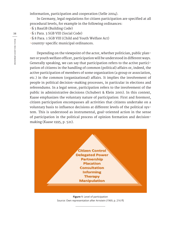information, participation and cooperation (Selle 2004).

In Germany, legal regulations for citizen participation are specified at all procedural levels, for example in the following ordinances:

-§ 3 BauGB (Building Code)

-§ 1 Para. 3 SGB VIII (Social Code)

-§ 8 Para. 1 SGB VIII (Child and Youth Welfare Act)

-country-specific municipal ordinances.

Depending on the viewpoint of the actor, whether politician, public planner or youth welfare officer, participation will be understood in different ways. Generally speaking, we can say that participation refers to the active participation of citizens in the handling of common (political) affairs or, indeed, the active participation of members of some organization (a group or association, etc.) in the common (organizational) affairs. It implies the involvement of people in political decision-making processes, in particular in elections and referendums. In a legal sense, participation refers to the involvement of the public in administrative decisions (Schubert & Klein 2001). In this context, Kaase emphasizes the voluntary nature of participation: First and foremost, citizen participation encompasses all activities that citizens undertake on a voluntary basis to influence decisions at different levels of the political system. This is understood as instrumental, goal-oriented action in the sense of participation in the political process of opinion formation and decisionmaking (Kaase 1995, p. 521).



**Figure 1**: Level of participation Source: Own representation after Arnstein (1969, p. 216 ff)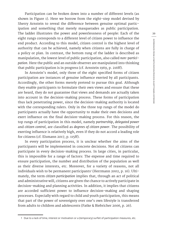Participation can be broken down into a number of different levels (as shown in Figure 1). Here we borrow from the eight-step model devised by Sherry Arnstein to reveal the difference between genuine optimal participation and something that merely masquerades as public participation. The ladder illustrates the power and powerlessness of people: Each of the eight rungs corresponds to a different level of citizen power to influence the end product. According to this model, citizen control is the highest level of authority that can be achieved, namely when citizens are fully in charge of a policy or plan. In contrast, the bottom rung of the ladder is described as manipulation, the lowest level of public participation, also called *non-participation*. Here the public and an outside observer are manipulated into thinking that public participation is in progress (cf. Arnstein 1969, p. 216ff).

In Arnstein's model, only three of the eight specified forms of citizen participation are instances of genuine influence exerted by all participants. Accordingly, the other forms merely pretend to pursue this goal. Although they enable participants to formulate their own views and ensure that these are heard, they do not guarantee that views and demands are actually taken into account in the decision-making process. These forms of participation thus lack penetrating power, since the decision-making authority is located with the corresponding rulers. Only in the three top rungs of the model do participants actually have the opportunity to make their own decisions and exert influence on the final decision-making process. For this reason, the top rungs of participation in this model, namely *partnership*, *delegated power* and *citizen control*, are classified as *degrees of citizen power*. The possibility of exerting influence is relatively high, even if they do not accord a leading role for citizens (cf. Elsmann 2017, p. 115ff).

In every participation process, it is unclear whether the aims of the participants will be implemented in concrete decisions. Not all citizens can participate in every decision-making process. In large cities, in particular, this is impossible for a range of factors: The expense and time required to ensure participation, the number and distribution of the population as well as their diverse interests, etc. Moreover, for a variety of reasons, not all individuals wish to be permanent participants' (Herrmann 2002, p. 16). Ultimately, the term *citizen participation* implies that, through an act of political and administrative will, citizens are given the chance to actively participate in decision-making and planning activities. In addition, it implies that citizens are accorded sufficient power to influence decision-making and shaping processes. Especially with regard to child and youth participation, this means that part of the power of sovereignty over one's own lifestyle is transferred from adults to children and adolescents (Fatke & Biebricher 2006, p. 26).

<sup>1</sup> Due to a lack of time, interest or motivation or a (temporary) surfeit of participation measures, etc.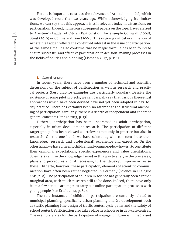Here it is important to stress the relevance of Arnstein's model, which was developed more than 40 years ago. While acknowledging its limitations, we can say that this approach is still relevant today in discussions on participation. Indeed, numerous subsequent papers on the topic have referred to Arnstein's Ladder of Citizen Participation, for example Cornwall (2008), Stout (2010) or Collins and Ison (2006). This ongoing critical examination of Arnstein's Ladder reflects the continued interest in the issue of participation. At the same time, it also confirms that no magic formula has been found to ensure successful and effective participation in decision-making processes in the fields of politics and planning (Elsmann 2017, p. 116).

#### **3. State of research**

In recent years, there have been a number of technical and scientific discussions on the subject of participation as well as research and practical projects (best practice examples are particularly popular). Despite the existence of some pilot projects, we can basically say that various theoretical approaches which have been devised have not yet been adopted in day-today practice. There has certainly been no attempt at the structural anchoring of participation. Similarly, there is a dearth of independent and coherent general concepts (Stange 2013, p. 13).

Hitherto, participation has been understood as adult participation, especially in urban development research. The participation of different target groups has been viewed as irrelevant not only in practice but also in research. On the one hand, we have scientists, who can contribute their knowledge, (research and professional) experience and expertise. On the other hand, we have citizens, children and young people, who wish to contribute their opinions, expectations, specific experiences and value orientations. Scientists can use the knowledge gained in this way to analyze the processes, plans and procedures and, if necessary, further develop, improve or revise these. Hitherto, however, these participatory elements of scientific communication have often been rather neglected in Germany (Science in Dialogue 2011, p. 9). The participation of children in science has generally been a rather marginal area, with much research still to be done. Indeed, there have only been a few serious attempts to carry out online participation processes with young people (see Ertelt 2012, p. 82).

The rare instances of children's participation are currently related to municipal planning, specifically urban planning and (re)development such as traffic planning (the design of traffic routes, cycle paths and the safety of school routes). Participation also takes place in schools or in day-care centres. One exemplary area for the participation of younger children is in media and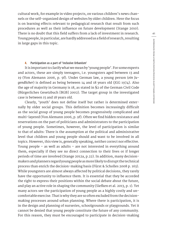cultural work, for example in video projects, on various children's news channels or the self-organized design of websites by older children. Here the focus is on learning effects relevant to pedagogical research that result from such procedures as well as their influence on future development (Stange 2010). There is no doubt that this field suffers from a lack of investment in research. Young people, in particular, are hardly addressed as a field of research, resulting in large gaps in this topic.

#### **4. Participation as a part of 'Inclusive Urbanism'**

It is important to clarify what we mean by 'young people'. For some experts and actors, these are simply teenagers, i.e. youngsters aged between 13 and 19 (Von Alemann 2006, p. 9f). Under German law, a young person (*ein Jugendlicher*) is defined as being between 14 and 18 years old (JGG 1974). Also the age of majority in Germany is 18, as stated in §2 of the German Civil Code (Bürgerliches Gesetzbuch [BGB] 2002). The target group in the investigated case is between 15 and 18 years old.

Clearly, 'youth' does not define itself but rather is determined externally by older social groups. This definition becomes increasingly difficult as the social group of young people becomes progressively complicated and multi-layered (Von Alemann 2006, p. 9f). Often we find hidden resistance and reservations on the part of politicians and administrators to the participation of young people. Sometimes, however, the level of participation is similar to that of adults: There is the assumption at the political and administrative level that children and young people should and want to be involved in all topics. However, this view is, generally speaking, neither correct nor effective. Young people – as well as adults – are not interested in everything around them, especially if they see no direct connection to their lives or if longer periods of time are involved (Stange 2012a, p.22). In addition, many decisionmakers and planners regard young people as more likely to disrupt the technical process than enrich the decision-making basis (Fürst & Scholles 2008 p. 163). While youngsters are almost always affected by political decisions, they rarely have the opportunity to influence them. It is essential that they be accorded the right to express their positions within the social debate about the future, and play an active role in shaping the community (Siefken et al. 2013, p. 1). Yet many actors see the participation of young people as a highly costly and uncomfortable exercise. That is why they are so often excluded from the decisionmaking processes around urban planning. Where there is participation, it is in the design and planning of nurseries, schoolgrounds or playgrounds. Yet it cannot be denied that young people constitute the future of any community. For this reason, they must be encouraged to participate in decision-making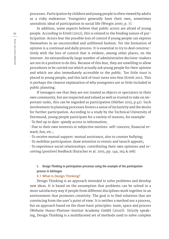processes. Participation by children and young people is often viewed by adults as a risky endeavour: Youngsters generally have their own, sometimes unrealistic ideal of participation in social life (Wergin 2000, p. 7).

In addition, some experts believe that public actors are afraid of young people. According to Ertelt (2012), this is related to the binding nature of participation: Actors fear the possible loss of control if young people can express themselves in an uncontrolled and unfiltered fashion. Yet the formation of opinion is a continual and daily process. It is essential to try to deal constructively with the loss of control that is evident, among other places, on the internet. An extraordinarily large number of administrative decision-makers are not in a position to do this. Because of this fear, they are unwilling to allow procedures to be carried out which actually ask young people for their opinion and which are also immediately accessible to the public. Too little trust is placed in young people, and this lack of trust turns into fear (Ertelt 2012. This is perhaps the clearest explanation of why youngsters are so little included in public planning.

If teenagers see that they are not treated as objects or spectators in their own community, but are respected and valued as well as trusted to take on important tasks, this can be regarded as participation (Hüther 2013, p.41). Such involvement in planning processes fosters a sense of inclusivity and the desire for further participation. According to a study by the Technical University of Dortmund, young people participate for a variety of reasons, for example:

-To feel up to date: speedy access to information;

-Due to their own interests or subjective motives: self-concern, financial reward, fun, etc.;

-To receive mutual support: mutual assistance, also to counter bullying;

-To mobilize participation: draw attention to events and launch appeals;

-To experience social relationships: contributing their own opinions and receiving (positive) feedback (Kutscher et al. 2015, pp. 149, 164 & 168).

**5. Design Thinking in participation processes using the example of the participation process in Göttingen**

# **5.1 What is Design Thinking?**

Design Thinking is an approach intended to solve problems and develop new ideas. It is based on the assumption that problems can be solved in a more satisfactory way if people from different disciplines work together in an environment that promotes creativity. The goal is to find solutions that are convincing from the user's point of view. It is neither a method nor a process, but an approach based on the three basic principles: team, space and process (Website Hasso-Plattner-Institut Academy GmbH (2020)). Strictly speaking, Design Thinking is a multifaceted set of methods used to solve complex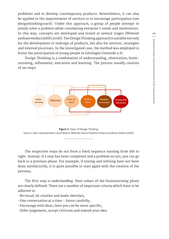problems and to develop contemporary products. Nevertheless, it can also be applied to the improvement of services or to encourage participation (see designthinkingcoach). Under this approach, a group of people attempt to jointly solve a problem while considering everyone's needs and motivations. In this way, concepts are developed and tested at several stages (Website yeebase media GmbH (2018)). The Design Thinking approach is suitable not only for the development or redesign of products, but also for services, strategies and internal processes. In the investigated case, the method was employed to foster the participation of young people in Göttingen Osterode a.H.

Design Thinking is a combination of understanding, observation, brainstorming, refinement, execution and learning. The process usually consists of six steps:





The respective steps do not form a fixed sequence running from left to right. Instead, if a step has been completed and a problem occurs, you can go back to a previous phase. For example, if testing and refining have not been done satisfactorily, it is quite possible to start again with the creation of the persona.

The first step is *understanding*. Here values of the brainstorming phase are clearly defined. There are a number of important criteria which have to be adhered to:

- -Be visual, be creative and make sketches;
- -One conversation at a time listen carefully;
- -Encourage wild ideas, later you can be more specific;
- -Defer judgement, accept criticism and rework your idea.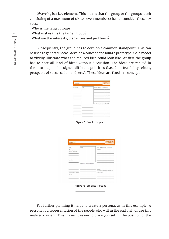*Observing* is a key element. This means that the group or the groups (each consisting of a maximum of six to seven members) has to consider these issues:

-Who is the target group?

-What makes this the target group?

-What are the interests, disparities and problems?

Subsequently, the group has to develop a common standpoint. This can be used to generate ideas, develop a concept and build a prototype, i.e. a model to vividly illustrate what the realized idea could look like. At first the group has to note all kind of ideas without discussion. The ideas are ranked in the next step and assigned different priorities (based on feasibility, effort, prospects of success, demand, etc.). These ideas are fixed in a concept.

| <b>PROFILE</b><br>PROJECTIDEA: |       |                                      |
|--------------------------------|-------|--------------------------------------|
| Descritation                   | Draft | Who is in charge and who finances?   |
|                                |       | How does city/region/actors benefit? |
|                                |       |                                      |

**Figure 3**: Profile template

| PROJECTIDEA:        |                            | PERSONA                                         |  |
|---------------------|----------------------------|-------------------------------------------------|--|
| Name                | Draft                      | What does her/his social milieu<br>look like?   |  |
| Place of residence  |                            | the control of the control of the con-          |  |
| Hobbies             |                            | the contract of the contract of the contract of |  |
|                     | What does he/she do there? | the control of the control of the con-          |  |
| How often in she/he | the company of the company | Why is she/he happy when he or<br>she is there? |  |
| there?              |                            |                                                 |  |
|                     |                            |                                                 |  |

**Figure 4**: Template Persona

For further planning it helps to create a persona, as in this example. A persona is a representation of the people who will in the end visit or use this realized concept. This makes it easier to place yourself in the position of the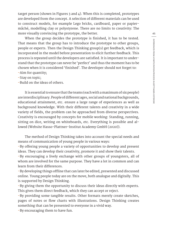target person (shown in Figures 3 and 4). When this is completed, prototypes are developed from the concept. A selection of different materials can be used to construct models, for example Lego bricks, cardboard, paper or papiermâché, modelling clay or polystyrene. There are no limits to creativity: The more visually convincing the prototype, the better.

When the group decides the prototype is finished, it has to be tested. That means that the group has to introduce the prototype to other groups, people or experts. Then the Design Thinking group(s) get feedback, which is incorporated in the model before presentation to elicit further feedback. This process is repeated until the developers are satisfied. It is important to understand that the prototype can never be 'perfect' and thus the moment has to be chosen when it is considered 'finished'. The developer should not forget to: -Aim for quantity;

-Stay on topic;

-Build on the ideas of others.

It is essential to ensure that the teams (each with a maximum of six people) are interdisciplinary. People of different ages, social and national backgrounds, educational attainment, etc. ensure a large range of experiences as well as background knowledge. With their different talents and creativity in a wide variety of fields, the problem can be approached from diverse perspectives. Creativity is encouraged by concepts for mobile working: Standing, running, sitting on dice, writing on whiteboards, etc. Everything is possible and allowed (Website Hasso-Plattner-Institut Academy GmbH (2020)).

The method of Design Thinking takes into account the special needs and means of communication of young people in various ways:

-By offering young people a variety of opportunities to develop and present ideas. They can develop their creativity, promote it and show their talents.

-By encouraging a lively exchange with other groups of youngsters, all of whom are involved for the same purpose. They have a lot in common and can learn from their differences.

-By developing things offline that can later be edited, presented and discussed online. Young people today are on the move, both analogue and digitally. This is supported by Design Thinking.

-By giving them the opportunity to discuss their ideas directly with experts. This gives them direct feedback, which they can accept or reject.

-By providing some tangible results. Other formats merely create sketches, pages of notes or flow charts with illustrations. Design Thinking creates something that can be presented to everyone in a vivid way.

-By encouraging them to have fun.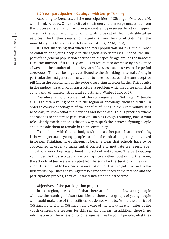# **5.2 Youth participation in Göttingen with Design Thinking**

According to forecasts, all the municipalities of Göttingen Osterode a.H. will shrink by 2025. Only the city of Göttingen could emerge unscathed from the process of stagnation: As a major centre, it possesses functions appreciated by the population, who do not wish to be cut off from valuable urban services. The further away a community is from the city of Göttingen, the more likely it is to shrink (Bertelsmann Stiftung [2010], p. 9).

It is not surprising that when the total population shrinks, the number of children and young people in the region also decreases. Indeed, the impact of the general population decline can hit specific age groups the hardest: Here the number of 0 to 10-year-olds is forecast to decrease by an average of 21% and the number of 10 to 18-year-olds by as much as 41% in the period 2010-2025. This can be largely attributed to the shrinking maternal cohort, in particular the first generation of women to have had access to the contraceptive pill (from the second half of the 1960s), resulting in fewer births. This results in the underutilization of infrastructure, a problem which requires municipal action and, ultimately, structural adjustment (Waibel 2010, p. 7).

Therefore, a major concern of the communities in Göttingen Osterode a.H. is to retain young people in the region or encourage them to return. In order to convince teenagers of the benefits of living in their community, it is necessary to know what their wishes and needs are. This is precisely where approaches to encourage participation, such as Design Thinking, have a vital role. Clearly, participation is the only way to spark the interest of young people and persuade them to remain in their community.

The problem with this method, as with most other participation methods, is how to persuade young people to take the initial step to get involved in Design Thinking. In Göttingen, it became clear that schools have to be approached in order to make initial contact and motivate teenagers. Specifically, a workshop was offered in a school auditorium. The participating young people thus avoided any extra trips to another location; furthermore, the schoolchildren were exempted from lessons for the duration of the workshop. This proved to be a decisive motivation for them to get involved in the first workshop. Once the youngsters became convinced of the method and the participation process, they voluntarily invested their free time.

# **Objectives of the participation project**

In the region, it was found that there are either too few young people who use the municipal leisure facilities or there exist groups of young people who could make use of the facilities but do not want to. While the district of Göttingen and city of Göttingen are aware of the low utilization rates of the youth centres, the reasons for this remain unclear. In addition, there is no information on the accessibility of leisure centres by young people, what they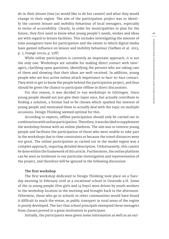do in their leisure time (or would like to do but cannot) and what they would change in their region. The aim of the participation project was to identify the current leisure and mobility behaviour of local teenagers, especially in terms of accessibility. Clearly, in order for municipalities to plan for the future, they first need to know what young people's needs, wishes and ideas are with regard to leisure facilities. This includes investigating the amount of time youngsters have for participation and the extent to which digital media have gained influence on leisure and mobility behaviour (Siefken et al. 2013, p. 1; Stange 2012a, p. 51ff).

While online participation is currently an important approach, it is not the only one. Workshops are suitable for making direct contact with teenagers, clarifying open questions, identifying the persons who are taking care of them and showing that their ideas are well-received. In addition, young people who are less active online attach importance to face-to-face contact. They wish to get to know the people behind the participation project, and thus should be given the chance to participate offline in direct discussions.

For this reason, it was decided to run workshops in Göttingen. Since young people should not just give their input once, but actually contribute to finding a solution, a format had to be chosen which sparked the interest of young people and motivated them to actually deal with the topic on multiple occasions. Design Thinking seemed optimal for this.

According to experts, offline participation should only be carried out in combination with online participation. Therefore, it was decided to supplement the workshop format with an online platform. The aim was to interest young people and facilitate the participation of those who were unable to take part in the workshops due to time constraints or because the travel distances were too great. The online participation as carried out in the model region was a complex approach, requiring detailed description. Unfortunately, this cannot be done within the framework of this article. Furthermore, the online platform can be seen as irrelevant to our particular investigation and representation of the project, and therefore will be ignored in the following discussion.

### **The first workshop**

The first workshop dedicated to Design Thinking took place on a Tuesday morning in February 2018 at a vocational school in Osterode a.H. Some of the 19 young people (five girls and 14 boys) were driven by youth workers to the workshop location in the morning and brought back in the afternoon. Otherwise, those who go to schools in other communities would have found it difficult to reach the venue, as public transport in rural areas of the region is poorly developed. The fact that school principals exempted these teenagers from classes proved to a great motivation to participate.

Initially, the participants were given some information as well as an out-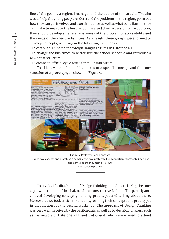line of the goal by a regional manager and the author of this article. The aim was to help the young people understand the problems in the region, point out how they can get involved and exert influence as well as what contribution they can make to improve the leisure facilities and their accessibility. In addition, they should develop a general awareness of the problem of accessibility and the needs of their leisure facilities. As a result, three groups were formed to develop concepts, resulting in the following main ideas:

-To establish a cinema for foreign-language films in Osterode a.H.;

-To change the bus times to better suit the school schedule and introduce a new tariff structure;

-To create an official cycle route for mountain bikers.

The ideas were elaborated by means of a specific concept and the construction of a prototype, as shown in Figure 5.



**Figure 5**: Prototypes and Concepts]

Upper row: concept and prototype cinema; lower row: prototype bus connection, represented by a bus stop as well as the mountain bike route.

Source: Own pictures

The typical feedback steps of Design Thinking aimed at criticizing the concepts were conducted in a balanced and constructive fashion. The participants enjoyed developing concepts, building prototypes and talking about these. Moreover, they took criticism seriously, revising their concepts and prototypes in preparation for the second workshop. The approach of Design Thinking was very well-received by the participants as well as by decision-makers such as the mayors of Osterode a.H. and Bad Grund, who were invited to attend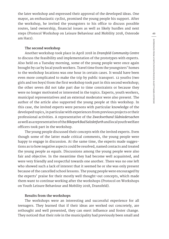the later workshop and expressed their approval of the developed ideas. One mayor, an enthusiastic cyclist, promised the young people his support. After the workshop, he invited the youngsters to his office to discuss possible routes, land ownership, financial issues as well as likely hurdles and next steps (Protocol Workshop on Leisure Behaviour and Mobility 2018, Osterode am Harz).

# **The second workshop**

Another workshop took place in April 2018 in *Dransfeld Community Centre* to discuss the feasibility and implementation of the prototypes with experts. Also held on a Tuesday morning, some of the young people were once again brought by car by local youth workers. Travel time from the youngsters' homes to the workshop locations was one hour in certain cases. It would have been even more complicated to make the trip by public transport. 12 youths (two girls and ten boys) from the first workshop took part in this second workshop; the other seven did not take part due to time constraints or because they were no longer motivated or interested in the topics. Experts, youth workers, municipal representatives and an external moderator were also present. The author of the article also supported the young people at this workshop. In this case, the invited experts were persons with particular knowledge of the developed topics, in particular with experiences from previous projects or their professional activities. A representative of the *Zweckverband Südniedersachen* as well as a representative of the *Bikepark Bad Salzdetfurth* and local youth welfare officers took part in the workshop.

The young people discussed their concepts with the invited experts. Even though some of the latter made critical comments, the young people were happy to engage in discussion. At the same time, the experts made suggestions as to how negative aspects could be resolved, named contacts and treated the young people as equals. Discussions among the young people were also fair and objective. In the meantime they had become well acquainted, and were very friendly and respectful towards one another. There was no one left who showed such a lack of interest that it seemed he or she was only present because of the cancelled school lessons. The young people were encouraged by the experts' praise for their mostly well thought-out concepts, which made them want to continue working after the workshops (Protocol on Workshops on Youth Leisure Behaviour and Mobility 2018, Dransfeld).

# **Results from the workshops**

The workshops were an interesting and successful experience for all teenagers. They learned that if their ideas are worked out concretely, are rethought and well presented, they can exert influence and foster change. They noticed that their role in the municipality had previously been small and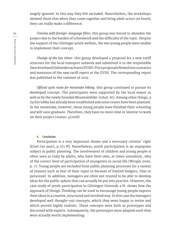largely ignored. In this way they felt excluded. Nevertheless, the workshops showed them that when they come together and bring adult actors on board, they can really make a difference.

*Cinema with foreign-language films*: this group was forced to abandon the project due to the burden of schoolwork and the difficulty of the topic. Despite the support of the Göttinger youth welfare, the two young people were unable to implement their concept.

*Change of the bus times*: this group developed a proposal for a new tariff structure for the local transport network and submitted it to the responsible Zweckverband Südniedersachsen (ZVSN). Price proposals flowed into scenarios and measures of the new tariff report at the ZVSN. The corresponding report was published in the summer of 2019.

*Official cycle route for mountain biking*: this group continued to pursue its developed concept. The participants were supported by the local mayor as well as by the newly founded Mountainbike-Schul-AG. Among other things, a cyclist lobby has already been established and some routes have been planned. In the meantime, however, these young people have finished their schooling and will soon graduate. Therefore, they have no more time or interest to work on their project (status: 4/2018)

# **6. Conclusion**

Participation is a very important theme and a necessary citizens' right (Eisel [no year], p.271 ff). Nonetheless, youth participation is an unpopular subject in public planning. The involvement of children and young people is often seen as risky by adults, who have their own, at times unrealistic, idea of the correct level of participation of youngsters in social life (Wergin 2000, p. 7). Young people are excluded from public planning processes for a variety of reasons such as fear of their input or because of limited budgets, time or personnel. In addition, teenagers are often not trusted to be able to develop ideas for the public sphere that can actually be put into practice. However, the case study of youth participation in Göttingen Osterode a.H. shows how the approach of Design Thinking can be used to encourage young people express their ideas in a creative, structured and involved way. In this case the teenagers developed well thought-out concepts, which they were happy to revise and which proved highly realistic. These concepts were built as prototypes and discussed with experts. Subsequently, the prototypes were adapted until they were actually worth implementing.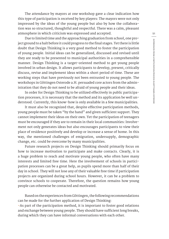The attendance by mayors at one workshop gave a clear indication how this type of participation is received by key players: The mayors were not only impressed by the ideas of the young people but also by how the collaboration was so structured, thoughtful and respectful. There was a calm, pleasant atmosphere in which criticism was expressed and accepted.

Due to limited time and the approaching graduation from school, one project ground to a halt before it could progress to the final stages. Yet there is little doubt that Design Thinking is a very good method to foster the participation of young people. Initial ideas can be generalized, discussed and revised until they are ready to be presented to municipal authorities in a comprehensible manner. Design Thinking is a target-oriented method to get young people involved in urban design. It allows participants to develop, present, critically discuss, revise and implement ideas within a short period of time. These are working steps that have previously not been entrusted to young people. The workshops in Göttingen Osterode a.H. persuaded core actors from the administration that they do not need to be afraid of young people and their ideas.

In order for Design Thinking to be utilized effectively in public participation processes, it is necessary that the method and its application be well understood. Currently, this know-how is only available in a few municipalities.

It must also be recognized that, despite effective participation methods, young people must be taken "by the hand" and given sufficient support. They cannot implement their ideas on their own. Yet the participation of teenagers must be encouraged if they are to remain in their local communities: Involvement not only generates ideas but also encourages participants to view their place of residence positively and develop or increase a sense of home. In this way, the mentioned challenges of emigration, undersupply, demographic change, etc. could be overcome by many municipalities.

Future research projects on Design Thinking should primarily focus on how to increase motivation to participate and make contacts. Clearly, it is a huge problem to reach and motivate young people, who often have many interests and limited free time. Here the involvement of schools in participation processes can be a great help, as pupils spend more than half of their day in school. They will not lose any of their valuable free time if participation projects are organized during school hours. However, it can be a problem to convince schools to cooperate. Therefore, the question remains how young people can otherwise be contacted and motivated.

Based on the experiences from Göttingen, the following recommendations can be made for the further application of Design Thinking: -As part of the participation method, it is important to foster good relations and exchange between young people. They should have sufficient long breaks, during which they can have informal conversations with each other.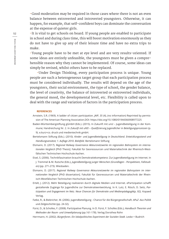-Good moderation may be required in those cases where there is not an even balance between extroverted and introverted youngsters. Otherwise, it can happen, for example, that self-confident boys can dominate the conversation at the expense of quieter girls.

-It is vital to get schools on board. If young people are enabled to participate in school and during class time, this will boost motivation enormously as they do not have to give up any of their leisure time and have no extra trips to make.

-Young people have to be met at eye level and are very results-oriented. If some ideas are entirely unfeasible, the youngsters must be given a comprehensible reason why they cannot be implemented. Of course, some ideas can simply be revised, whilst others have to be replaced.

-Under Design Thinking, every participation process is unique. Young people are such a heterogeneous target group that each participation process must be considered individually. The results will depend on the age of the youngsters, their social environment, the type of school, the gender balance, the level of creativity, the balance of introverted or extroverted individuals, the general mood, the developmental level, etc. Flexibility is called upon to deal with the range and variation of factors in the participation process.

#### **REFERENCES**

- Arnstein, S.R. (1969). A ladder of citizen participation. *JAIP, 35* (4), (no information) Reprinted by permission of The American Planning Association.DOI: https://doi.org/10.1080/01944366908977225
- Baden-Württembergstiftung gGmbH (Eds.). (2015). In Zukunft mit uns! Jugendbeteiligung in der Kommune; Handreichung Nr. 2. In *Zukunft mit uNS! – Qualifizierung Jugendlicher in Beteiligungsprozessen* (p. 9). e.kurz+co. druck und medientechnik gmbH.
- Bertelsmann Stiftung (Eds.). (2010). *Kinder- und Jugendbeteiligung in Deutschland. Entwicklungsstand und Handlungsansätze; 1. Auflage 2010. Bielefeld.* Bertelsmann Stiftung
- Elsmann, D. (2017). *Regional Railway Governance Akteursnetzwerke im regionalen Bahnsystem im internationalen Vergleich* [PhD Thesis]. Fakultät für Georessourcen und Materialtechnik der Rheinisch-Westfälischen Technischen Hochschule Aachen.
- Eisel, S. (2006). Technikfaszination braucht Demokratiekompetenz: Zur Jugendbeteiligung im Internet. In J. Tremmel & M. Rutsche (Eds.), *Jugendbeteiligung junger Menschen (Grundlagen - Perspektiven, Fallstudien)* (pp. 271-273). Wiesbaden.
- Elsmann, D. (2017). *Regional Railway Governance Akteursnetzwerke im regionalen Bahnsystem im internationalen Vergleich* [PhD dissertation]. Fakultät für Georessourcen und Materialtechnik der Rheinisch-Westfälischen Technischen Hochschule Aachen.
- Ertelt, J. (2012). Mehr Beteiligung realisieren durch digitale Medien und Internet. ePartizipation schafft gestaltende Zugänge für Jugendliche zur Demokratieentwicklung. In K. Lutz, E. Rösch, D. Seitz, *Partizipation und Engagement im Netz. Neue Chancen für Demokratie und Medienpädagogik*(p. 82)*.* Kopaed Verlag.
- Fatke, R., & Biebricher, M. (2006). Jugendbeteiligung Chance für die Bürgergesellschaft. *APuZ -Aus Politik und Zeitgeschichte* (pp. 24-32)*.*
- Fürst, D., & Scholles, F. (2008). Partizipative Planung. In D. Fürst, F. Scholles (Eds.), *Handbuch Theorien und Methoden der Raum- und Umweltplanung* (pp.161-178). Verlag Dorothea Rohn
- Herrmann, H. (2002). *Bürgerforen. Ein lokalpolitisches Experiment der Sozialen Stadt.* Leske + Budrich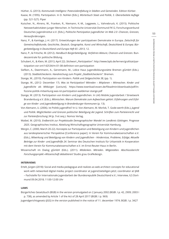Hüther, G. (2013). *Kommunale Intelligenz: Potenzialentfaltung in Städten und Gemeinden.* Edition Körber.

- Kaase, M. (1995). Partizipation. In D. Nohlen [Eds.], *Wörterbuch Staat und Politik, 3. Überarbeitete Auflage* (pp. 521-527). Piper
- Kutscher, N., Ahrens, W., Franken, R., Niemann, K.-M., Leggewie, L., Vahnebruck, K. (2015). Politische Netzwerkaktivitäten junger Menschen. In Technische Universität Dortmund FK12, Forschungsverbund Deutsches Jugendinstitut e.V. [Eds.], *Politische Partizipation Jugendlicher im Web 2.0 -Chancen, Grenzen, Herausforderungen*.
- Nanz, P., & Kamlage, J.-H. (2017). Entwicklungen der partizipativen Demokratie in Europa. *Zeitschrift für Gemeinschaftskunde, Geschichte, Deutsch, Geographie, Kunst und Wirtschaft, Deutschland & Europa; Bürgerbeteiligung in Deutschland und Europa Heft 65 –2013*, 12.
- Nanz, P., & Fritsche, M. (2012). *Handbuch Bürgerbeteiligung. Verfahren Akteure, Chancen und Grenzen.* Bundeszentrale für politische Bildung.
- Schubert, K., & Klein, M. (2013, April 22). *Stichwort "Partizipation".* http://www.bpb.de/lernen/grafstat/partizipation-vor-ort/142534/m-01-08-definiton-von-partizipation
- Siefken, A., Dwertmann, A., Gerstmann, M., Lidice Haus Jugendbildungsstätte Bremen gGmbH (Eds.). (2013). *Stadtteilcheckerin. Handreichung zum Projekt "Stadtteilcheckerin".* Bremen.
- Stange, W., (2010). Partizipation von Kindern. *Politik und Zeitgeschichte 38*, (pp. 1).
- Stange, W., (2012- December 17). *Was ist Partizipation? Mitreden Mitplanen Mitmachen. Kinder und Jugendliche als Mitbürger* [Lecture]. https://www.townload-essen.de/fileadmin/downloads/pdf/infozone-politik-mitwirkung-was-ist-partizipation-waldemar-stange.pdf
- Stange, W. (2013). Partizipation von Kindern und Jugendlichen. In LAG Mobile Jugendarbeit / Streetwork Brandenburg e.V. (Eds.), *Mitmischen. Warum Demokratie zum Aufwachsen gehört. Erfahrungen und Erfolge von Kinder- und Jugendbeteiligung in Brandenburger Kommunen* (p. 13).
- Von Alemann, U. (2006). Ist Politik jugendfrei? In U. Von Alemann, M. Morlok, T. Gode-werth (Eds.), *Jugend und Politik. Möglichkeiten und Grenzen politischer Beteiligung der Jugend. Schriften zum Parteienrecht und zur Parteienforschung 34* (p. 9 et seq.). Nomos Verlag.
- Waibel, M. (2010). *Endbericht zur Projektstudie Demographischer Wandel im Landkreis Göttingen. Prognose 2025*. Geographisches Institut, Abteilung Wirtschaftsgeographie Universität Hamburg.
- Wergin, C. (2000, March 20-22). Konzepte zur Partizipation und Beteiligung von Kindern und Jugendlichen aus landesplanerischer Perspektive [Conference paper]. In Verein für Kommunalwissenschaften e.V. (Eds.), *Mitwirkung und Beteiligung von Kindern und Jugendlichen - Hindernisse, Probleme, Erfolge; Aktuelle Beiträge zur Kinder- und Jugendhilfe 24*. Seminar des Deutschen Instituts für Urbanistik in Kooperation mit dem Verein für Kommunalwissenschaften e.V. im Ernst-Reuter-Haus in Berlin.
- Wissenschaft im Dialog gGmbH (Eds.). (2011). *Mitdenken. Mitreden. Mitgestalten. Abschlussbericht Forschungsprojekt »Wissenschaft debattieren!* Studio grau Grafikdesign.

#### **INTERVIEWS**

Ertelt, Jürgen (2018): Social and media pedagogue and realizes as web architect concepts for educational work with networked digital media; project coordinator at jugend.beteiligen.jetzt; coordinator at IJAB – Fachstelle für Internationale Jugendarbeit der Bundesrepublik Deutschland e.V.; Interview, ILS Dortmund 09.04.2018; 11:00-12:00 Uhr

#### **LAWS**

Bürgerliches Gesetzbuch (BGB) in the version promulgated on 2 January 2002 (BGBl. I p. 42, 2909; 2003 I p. 738), as amended by Article 1 of the Act of 28 April 2017 (BGBl. I p. 969)

Jugendgerichtsgesetz (JGG) in the version published in the notice of 11. december 1974; BGBl. I p. 3427